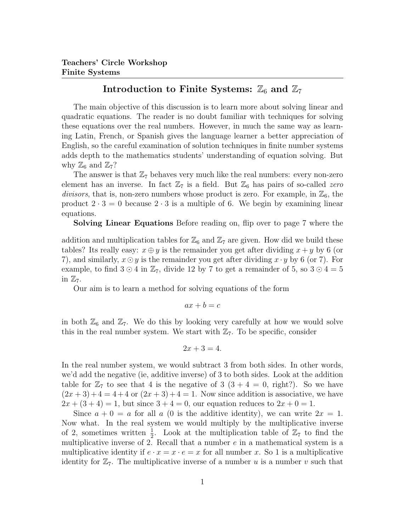## Introduction to Finite Systems:  $\mathbb{Z}_6$  and  $\mathbb{Z}_7$

The main objective of this discussion is to learn more about solving linear and quadratic equations. The reader is no doubt familiar with techniques for solving these equations over the real numbers. However, in much the same way as learning Latin, French, or Spanish gives the language learner a better appreciation of English, so the careful examination of solution techniques in finite number systems adds depth to the mathematics students' understanding of equation solving. But why  $\mathbb{Z}_6$  and  $\mathbb{Z}_7$ ?

The answer is that  $\mathbb{Z}_7$  behaves very much like the real numbers: every non-zero element has an inverse. In fact  $\mathbb{Z}_7$  is a field. But  $\mathbb{Z}_6$  has pairs of so-called *zero* divisors, that is, non-zero numbers whose product is zero. For example, in  $\mathbb{Z}_6$ , the product  $2 \cdot 3 = 0$  because  $2 \cdot 3$  is a multiple of 6. We begin by examining linear equations.

Solving Linear Equations Before reading on, flip over to page 7 where the

addition and multiplication tables for  $\mathbb{Z}_6$  and  $\mathbb{Z}_7$  are given. How did we build these tables? Its really easy:  $x \oplus y$  is the remainder you get after dividing  $x + y$  by 6 (or 7), and similarly,  $x \odot y$  is the remainder you get after dividing  $x \cdot y$  by 6 (or 7). For example, to find  $3 \odot 4$  in  $\mathbb{Z}_7$ , divide 12 by 7 to get a remainder of 5, so  $3 \odot 4 = 5$ in  $\mathbb{Z}_7$ .

Our aim is to learn a method for solving equations of the form

$$
ax + b = c
$$

in both  $\mathbb{Z}_6$  and  $\mathbb{Z}_7$ . We do this by looking very carefully at how we would solve this in the real number system. We start with  $\mathbb{Z}_7$ . To be specific, consider

$$
2x + 3 = 4.
$$

In the real number system, we would subtract 3 from both sides. In other words, we'd add the negative (ie, additive inverse) of 3 to both sides. Look at the addition table for  $\mathbb{Z}_7$  to see that 4 is the negative of 3  $(3 + 4 = 0, \text{ right})$ . So we have  $(2x+3)+4=4+4$  or  $(2x+3)+4=1$ . Now since addition is associative, we have  $2x + (3 + 4) = 1$ , but since  $3 + 4 = 0$ , our equation reduces to  $2x + 0 = 1$ .

Since  $a + 0 = a$  for all a (0 is the additive identity), we can write  $2x = 1$ . Now what. In the real system we would multiply by the multiplicative inverse of 2, sometimes written  $\frac{1}{2}$ . Look at the multiplication table of  $\mathbb{Z}_7$  to find the multiplicative inverse of 2. Recall that a number  $e$  in a mathematical system is a multiplicative identity if  $e \cdot x = x \cdot e = x$  for all number x. So 1 is a multiplicative identity for  $\mathbb{Z}_7$ . The multiplicative inverse of a number u is a number v such that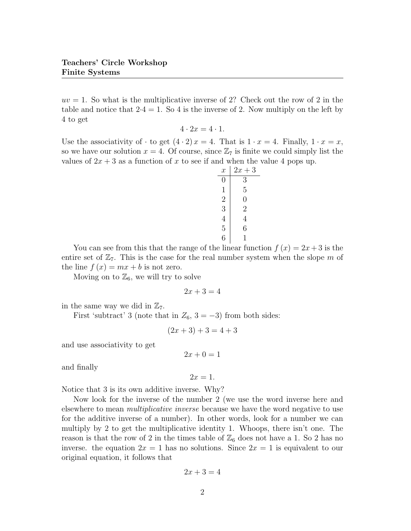$uv = 1$ . So what is the multiplicative inverse of 2? Check out the row of 2 in the table and notice that  $2.4 = 1$ . So 4 is the inverse of 2. Now multiply on the left by 4 to get

$$
4 \cdot 2x = 4 \cdot 1.
$$

Use the associativity of  $\cdot$  to get  $(4 \cdot 2)x = 4$ . That is  $1 \cdot x = 4$ . Finally,  $1 \cdot x = x$ , so we have our solution  $x = 4$ . Of course, since  $\mathbb{Z}_7$  is finite we could simply list the values of  $2x + 3$  as a function of x to see if and when the value 4 pops up.

| $\boldsymbol{x}$ | $2x+3$         |
|------------------|----------------|
| 0                | 3              |
| 1                | $\overline{5}$ |
| $\overline{2}$   | 0              |
| 3                | $\overline{2}$ |
| $\overline{4}$   | 4              |
| 5                | 6              |
| 6                | 1              |

You can see from this that the range of the linear function  $f(x) = 2x + 3$  is the entire set of  $\mathbb{Z}_7$ . This is the case for the real number system when the slope m of the line  $f(x) = mx + b$  is not zero.

Moving on to  $\mathbb{Z}_6$ , we will try to solve

$$
2x + 3 = 4
$$

in the same way we did in  $\mathbb{Z}_7$ .

First 'subtract' 3 (note that in  $Z_6$ ,  $3 = -3$ ) from both sides:

$$
(2x + 3) + 3 = 4 + 3
$$

and use associativity to get

$$
2x + 0 = 1
$$

and finally

 $2x=1$ .

Notice that 3 is its own additive inverse. Why?

Now look for the inverse of the number 2 (we use the word inverse here and elsewhere to mean *multiplicative inverse* because we have the word negative to use for the additive inverse of a number). In other words, look for a number we can multiply by 2 to get the multiplicative identity 1. Whoops, there isn't one. The reason is that the row of 2 in the times table of  $\mathbb{Z}_6$  does not have a 1. So 2 has no inverse. the equation  $2x = 1$  has no solutions. Since  $2x = 1$  is equivalent to our original equation, it follows that

$$
2x + 3 = 4
$$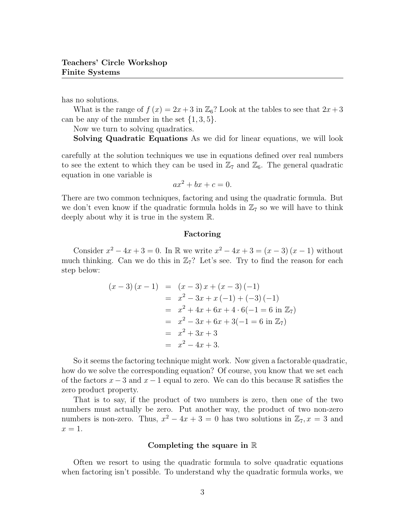has no solutions.

What is the range of  $f(x) = 2x + 3$  in  $\mathbb{Z}_6$ ? Look at the tables to see that  $2x+3$ can be any of the number in the set  $\{1, 3, 5\}.$ 

Now we turn to solving quadratics.

Solving Quadratic Equations As we did for linear equations, we will look

carefully at the solution techniques we use in equations defined over real numbers to see the extent to which they can be used in  $\mathbb{Z}_7$  and  $\mathbb{Z}_6$ . The general quadratic equation in one variable is

$$
ax^2 + bx + c = 0.
$$

There are two common techniques, factoring and using the quadratic formula. But we don't even know if the quadratic formula holds in  $\mathbb{Z}_7$  so we will have to think deeply about why it is true in the system R.

#### Factoring

Consider  $x^2 - 4x + 3 = 0$ . In R we write  $x^2 - 4x + 3 = (x - 3)(x - 1)$  without much thinking. Can we do this in  $\mathbb{Z}_7$ ? Let's see. Try to find the reason for each step below:

$$
(x-3)(x-1) = (x-3)x + (x-3)(-1)
$$
  
=  $x^2 - 3x + x(-1) + (-3)(-1)$   
=  $x^2 + 4x + 6x + 4 \cdot 6(-1) = 6 \text{ in } \mathbb{Z}_7$   
=  $x^2 - 3x + 6x + 3(-1) = 6 \text{ in } \mathbb{Z}_7$   
=  $x^2 + 3x + 3$   
=  $x^2 - 4x + 3$ .

So it seems the factoring technique might work. Now given a factorable quadratic, how do we solve the corresponding equation? Of course, you know that we set each of the factors  $x - 3$  and  $x - 1$  equal to zero. We can do this because R satisfies the zero product property.

That is to say, if the product of two numbers is zero, then one of the two numbers must actually be zero. Put another way, the product of two non-zero numbers is non-zero. Thus,  $x^2 - 4x + 3 = 0$  has two solutions in  $\mathbb{Z}_7$ ,  $x = 3$  and  $x=1$ .

#### Completing the square in  $\mathbb R$

Often we resort to using the quadratic formula to solve quadratic equations when factoring isn't possible. To understand why the quadratic formula works, we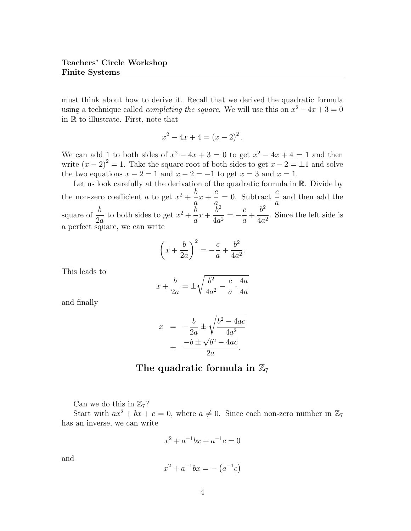must think about how to derive it. Recall that we derived the quadratic formula using a technique called *completing the square*. We will use this on  $x^2 - 4x + 3 = 0$ in R to illustrate. First, note that

$$
x^2 - 4x + 4 = (x - 2)^2.
$$

We can add 1 to both sides of  $x^2 - 4x + 3 = 0$  to get  $x^2 - 4x + 4 = 1$  and then write  $(x - 2)^2 = 1$ . Take the square root of both sides to get  $x - 2 = \pm 1$  and solve the two equations  $x - 2 = 1$  and  $x - 2 = -1$  to get  $x = 3$  and  $x = 1$ .

Let us look carefully at the derivation of the quadratic formula in R. Divide by the non-zero coefficient *a* to get  $x^2 + \frac{b}{x}$  $\overline{a}$  $x +$ c  $\overline{a}$  $= 0$ . Subtract  $\frac{c}{c}$ a and then add the square of  $\frac{b}{2}$  $2a$ to both sides to get  $x^2 + \frac{b}{x}$ a  $x +$  $\tilde{b}^2$  $\frac{b^2}{4a^2} = -\frac{c}{a}$ a  $+$  $b^2$  $\frac{1}{4a^2}$ . Since the left side is a perfect square, we can write

$$
\left(x + \frac{b}{2a}\right)^2 = -\frac{c}{a} + \frac{b^2}{4a^2}.
$$

This leads to

$$
x + \frac{b}{2a} = \pm \sqrt{\frac{b^2}{4a^2} - \frac{c}{a} \cdot \frac{4a}{4a}}
$$

and finally

$$
x = -\frac{b}{2a} \pm \sqrt{\frac{b^2 - 4ac}{4a^2}}
$$

$$
= \frac{-b \pm \sqrt{b^2 - 4ac}}{2a}.
$$

### The quadratic formula in  $\mathbb{Z}_7$

Can we do this in  $\mathbb{Z}_7$ ?

Start with  $ax^2 + bx + c = 0$ , where  $a \neq 0$ . Since each non-zero number in  $\mathbb{Z}_7$ has an inverse, we can write

$$
x^2 + a^{-1}bx + a^{-1}c = 0
$$

and

$$
x^2 + a^{-1}bx = -(a^{-1}c)
$$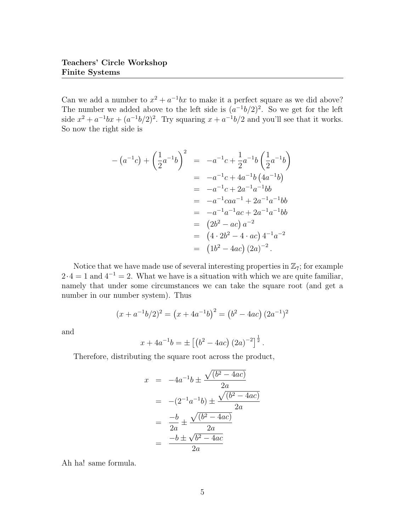Can we add a number to  $x^2 + a^{-1}bx$  to make it a perfect square as we did above? The number we added above to the left side is  $(a^{-1}b/2)^2$ . So we get for the left side  $x^2 + a^{-1}bx + (a^{-1}b/2)^2$ . Try squaring  $x + a^{-1}b/2$  and you'll see that it works. So now the right side is

$$
-(a^{-1}c) + \left(\frac{1}{2}a^{-1}b\right)^2 = -a^{-1}c + \frac{1}{2}a^{-1}b\left(\frac{1}{2}a^{-1}b\right)
$$
  
\n
$$
= -a^{-1}c + 4a^{-1}b(4a^{-1}b)
$$
  
\n
$$
= -a^{-1}c + 2a^{-1}a^{-1}bb
$$
  
\n
$$
= -a^{-1}caa^{-1} + 2a^{-1}a^{-1}bb
$$
  
\n
$$
= -a^{-1}a^{-1}ac + 2a^{-1}a^{-1}bb
$$
  
\n
$$
= (2b^2 - ac) a^{-2}
$$
  
\n
$$
= (4 \cdot 2b^2 - 4 \cdot ac) 4^{-1}a^{-2}
$$
  
\n
$$
= (1b^2 - 4ac) (2a)^{-2}.
$$

Notice that we have made use of several interesting properties in  $\mathbb{Z}_7$ ; for example  $2 \cdot 4 = 1$  and  $4^{-1} = 2$ . What we have is a situation with which we are quite familiar, namely that under some circumstances we can take the square root (and get a number in our number system). Thus

$$
(x + a^{-1}b/2)^2 = (x + 4a^{-1}b)^2 = (b^2 - 4ac)(2a^{-1})^2
$$

and

$$
x + 4a^{-1}b = \pm \left[ \left( b^2 - 4ac \right) \left( 2a \right)^{-2} \right]^{\frac{1}{2}}.
$$

Therefore, distributing the square root across the product,

$$
x = -4a^{-1}b \pm \frac{\sqrt{(b^2 - 4ac)}}{2a}
$$
  
= -(2<sup>-1</sup>a<sup>-1</sup>b)  $\pm \frac{\sqrt{(b^2 - 4ac)}}{2a}$   
=  $\frac{-b}{2a} \pm \frac{\sqrt{(b^2 - 4ac)}}{2a}$   
=  $\frac{-b \pm \sqrt{b^2 - 4ac}}{2a}$ 

Ah ha! same formula.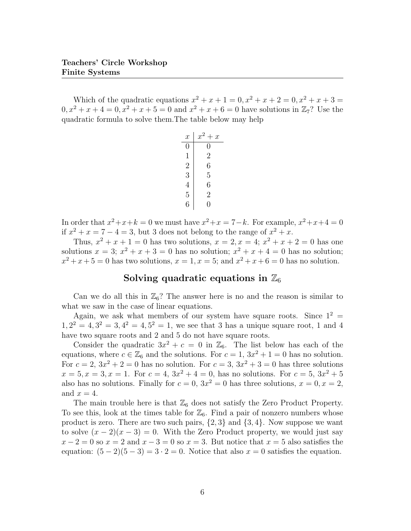Which of the quadratic equations  $x^2 + x + 1 = 0, x^2 + x + 2 = 0, x^2 + x + 3 = 0$  $0, x^2 + x + 4 = 0, x^2 + x + 5 = 0$  and  $x^2 + x + 6 = 0$  have solutions in  $\mathbb{Z}_7$ ? Use the quadratic formula to solve them.The table below may help

| $\boldsymbol{x}$ | $x^2+x$        |
|------------------|----------------|
| 0                | 0              |
| 1                | $\overline{2}$ |
| $\overline{2}$   | 6              |
| 3                | $\overline{5}$ |
| $\overline{4}$   | 6              |
| 5                | $\overline{2}$ |
| 6                | 0              |

In order that  $x^2+x+k=0$  we must have  $x^2+x=7-k$ . For example,  $x^2+x+4=0$ if  $x^2 + x = 7 - 4 = 3$ , but 3 does not belong to the range of  $x^2 + x$ .

Thus,  $x^2 + x + 1 = 0$  has two solutions,  $x = 2, x = 4$ ;  $x^2 + x + 2 = 0$  has one solutions  $x = 3$ ;  $x^2 + x + 3 = 0$  has no solution;  $x^2 + x + 4 = 0$  has no solution;  $x^2 + x + 5 = 0$  has two solutions,  $x = 1, x = 5$ ; and  $x^2 + x + 6 = 0$  has no solution.

### Solving quadratic equations in  $\mathbb{Z}_6$

Can we do all this in  $\mathbb{Z}_6$ ? The answer here is no and the reason is similar to what we saw in the case of linear equations.

Again, we ask what members of our system have square roots. Since  $1^2$  =  $1, 2^2 = 4, 3^2 = 3, 4^2 = 4, 5^2 = 1$ , we see that 3 has a unique square root, 1 and 4 have two square roots and 2 and 5 do not have square roots.

Consider the quadratic  $3x^2 + c = 0$  in  $\mathbb{Z}_6$ . The list below has each of the equations, where  $c \in \mathbb{Z}_6$  and the solutions. For  $c = 1, 3x^2 + 1 = 0$  has no solution. For  $c = 2$ ,  $3x^2 + 2 = 0$  has no solution. For  $c = 3$ ,  $3x^2 + 3 = 0$  has three solutions  $x = 5, x = 3, x = 1$ . For  $c = 4, 3x^2 + 4 = 0$ , has no solutions. For  $c = 5, 3x^2 + 5$ also has no solutions. Finally for  $c = 0$ ,  $3x^2 = 0$  has three solutions,  $x = 0$ ,  $x = 2$ , and  $x = 4$ .

The main trouble here is that  $\mathbb{Z}_6$  does not satisfy the Zero Product Property. To see this, look at the times table for  $\mathbb{Z}_6$ . Find a pair of nonzero numbers whose product is zero. There are two such pairs,  $\{2,3\}$  and  $\{3,4\}$ . Now suppose we want to solve  $(x - 2)(x - 3) = 0$ . With the Zero Product property, we would just say  $x-2=0$  so  $x=2$  and  $x-3=0$  so  $x=3$ . But notice that  $x=5$  also satisfies the equation:  $(5-2)(5-3) = 3 \cdot 2 = 0$ . Notice that also  $x = 0$  satisfies the equation.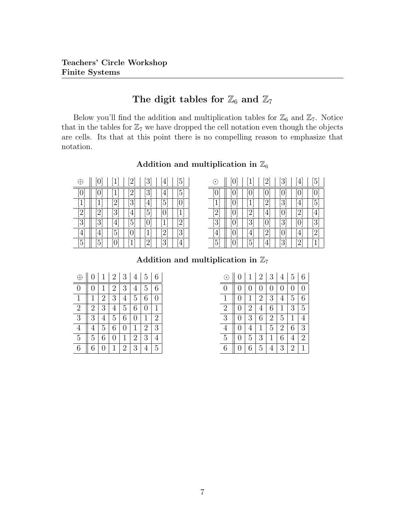## The digit tables for  $\mathbb{Z}_6$  and  $\mathbb{Z}_7$

Below you'll find the addition and multiplication tables for  $\mathbb{Z}_6$  and  $\mathbb{Z}_7$ . Notice that in the tables for  $\mathbb{Z}_7$  we have dropped the cell notation even though the objects are cells. Its that at this point there is no compelling reason to emphasize that notation.

Addition and multiplication in  $\mathbb{Z}_6$ 

|                                                                                                                                                                | [0]            | 1 <sup>1</sup>  | $\left 2\right $  | $\left[3\right]$ | 4                            | [5]               |
|----------------------------------------------------------------------------------------------------------------------------------------------------------------|----------------|-----------------|-------------------|------------------|------------------------------|-------------------|
| [0]                                                                                                                                                            | $\overline{0}$ | $1\overline{ }$ | $\left[ 2\right]$ | [3]              | $\overline{4}$               | [5]               |
| $\overline{1}$                                                                                                                                                 | $\overline{1}$ | 2               | [3]               | $\overline{4}$   | $\overline{5}$               | [0]               |
| $[2] % \includegraphics[width=0.9\columnwidth]{images/TrDiM1.png} \caption{The figure shows the number of parameters in the left and right.} \label{TrDiM2} %$ | $\overline{2}$ | [3]             | $\overline{4}$    | [5]              | [0]                          | [1]               |
| $\overline{3}$                                                                                                                                                 | $\overline{3}$ | $\overline{4}$  | [5]               | [0]              | $\left\lceil 1 \right\rceil$ | $\overline{[2]}$  |
| [4]                                                                                                                                                            | $\overline{4}$ | $\overline{5}$  | [0]               | $\mathbf{1}$     | [2]                          | $\lceil 3 \rceil$ |
| [5]                                                                                                                                                            | $\overline{5}$ | [0]             | [1                | [2]              | [3]                          | 4                 |

| $\odot$                      | [0] | $\overline{1}$    | $^{[2]}$ | $\left\lceil 3 \right\rceil$ | $\overline{4}$ | [5]                         |
|------------------------------|-----|-------------------|----------|------------------------------|----------------|-----------------------------|
| [0]                          | [0] | [0]               | [0]      | [0]                          | $\overline{0}$ | [0]                         |
| $\left\lceil 1 \right\rceil$ | [0] | $\overline{1}$    | $^{[2]}$ | [3]                          | $\overline{4}$ | [5]                         |
| [2]                          | [0] | $\overline{2}$    | [4]      | [0]                          | $\overline{2}$ | 4                           |
| [3]                          | [0] | [3]               | [0]      | [3]                          | $\overline{0}$ | [3]                         |
| Ι4,                          | [0] | $\overline{4}$    |          | [0]                          | $\overline{4}$ | [2]                         |
| $\left[5\right]$             | [0] | $\lceil 5 \rceil$ | [4]      | [3]                          |                | $\left\lceil 1\right\rceil$ |

Addition and multiplication in  $\mathbb{Z}_7$ 

|                | $\overline{0}$ |                | $\overline{2}$ | 3              | 4              | 5 | 6              |
|----------------|----------------|----------------|----------------|----------------|----------------|---|----------------|
| $\Omega$       | 0              |                | 2              | 3              | 4              | 5 | 6              |
| 1              | 1              | $\overline{2}$ | 3              | 4              | 5              | 6 | 0              |
| $\overline{2}$ | $\overline{2}$ | 3              | 4              | 5              | 6              | 0 | 1              |
| 3              | 3              | 4              | 5              | 6              | 0              | 1 | $\overline{2}$ |
| 4              | $\overline{4}$ | 5              | 6              | 0              | 1              | 2 | 3              |
| 5              | 5              | 6              | 0              | 1              | $\overline{2}$ | 3 | $\overline{4}$ |
| 6              | 6              |                | 1              | $\overline{2}$ | 3              |   | 5              |

| $\odot$        | $\overline{0}$   | 1              | $\overline{2}$ | 3              | 4              | 5              | 6              |
|----------------|------------------|----------------|----------------|----------------|----------------|----------------|----------------|
| $\overline{0}$ | 0                | 0              | 0              | $\overline{0}$ | 0              | 0              | 0              |
| 1              | 0                | $\mathbf{1}$   | $\overline{2}$ | 3              | 4              | 5              | 6              |
| $\overline{2}$ | $\overline{0}$   | $\overline{2}$ | $\overline{4}$ | 6              | $\mathbf 1$    | 3              | $\overline{5}$ |
| $\overline{3}$ | 0                | 3              | 6              | $\overline{2}$ | $\overline{5}$ | 1              | 4              |
| 4              | 0                | 4              | 1              | 5              | $\overline{2}$ | 6              | 3              |
| $\overline{5}$ | 0                | 5              | 3              | 1              | 6              | 4              | $\overline{2}$ |
| 6              | $\left( \right)$ | 6              | $\overline{5}$ | 4              | 3              | $\overline{2}$ | $\mathbf{1}$   |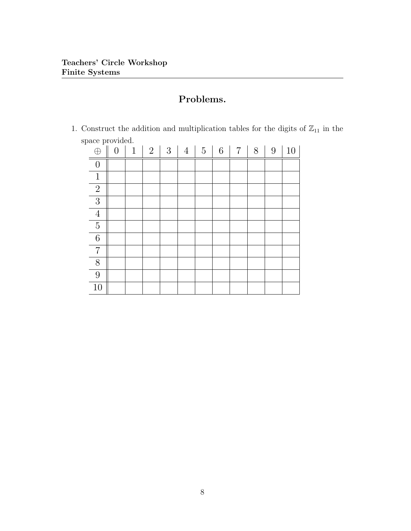# Problems.

1. Construct the addition and multiplication tables for the digits of  $\mathbb{Z}_{11}$  in the space provided.

| $\frac{1}{2}$<br>$\bigoplus$ | $\overline{0}$ | $\mathbf{1}$ | $\overline{2}$ | 3 | $\overline{4}$ | $\mathbf 5$ | $\,6$ | $\overline{7}$ | 8 | 9 | 10 |
|------------------------------|----------------|--------------|----------------|---|----------------|-------------|-------|----------------|---|---|----|
| $\boldsymbol{0}$             |                |              |                |   |                |             |       |                |   |   |    |
| $\,1\,$                      |                |              |                |   |                |             |       |                |   |   |    |
| $\overline{2}$               |                |              |                |   |                |             |       |                |   |   |    |
| $\overline{3}$               |                |              |                |   |                |             |       |                |   |   |    |
| $\ensuremath{4}$             |                |              |                |   |                |             |       |                |   |   |    |
| $\overline{5}$               |                |              |                |   |                |             |       |                |   |   |    |
| $\overline{6}$               |                |              |                |   |                |             |       |                |   |   |    |
| $\,7$                        |                |              |                |   |                |             |       |                |   |   |    |
| $8\,$                        |                |              |                |   |                |             |       |                |   |   |    |
| 9                            |                |              |                |   |                |             |       |                |   |   |    |
| 10                           |                |              |                |   |                |             |       |                |   |   |    |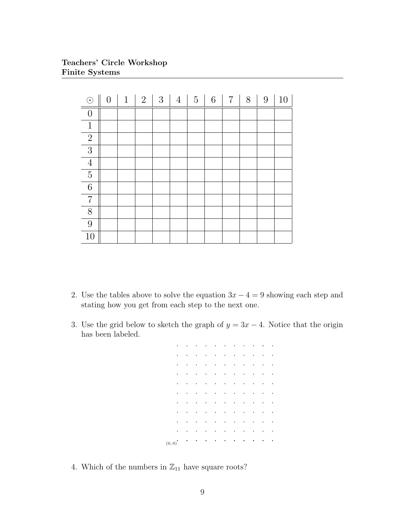Teachers' Circle Workshop Finite Systems

| $\odot$        | $\overline{0}$ | $\mathbf{1}$ | $\overline{2}$ | 3 | $\overline{4}$ | $5\phantom{.0}$ | $6\phantom{.}6$ | $\overline{7}$ | 8 | $9\phantom{.}$ | 10 |
|----------------|----------------|--------------|----------------|---|----------------|-----------------|-----------------|----------------|---|----------------|----|
| $\overline{0}$ |                |              |                |   |                |                 |                 |                |   |                |    |
| $\mathbf{1}$   |                |              |                |   |                |                 |                 |                |   |                |    |
| $\overline{2}$ |                |              |                |   |                |                 |                 |                |   |                |    |
| 3              |                |              |                |   |                |                 |                 |                |   |                |    |
| $\overline{4}$ |                |              |                |   |                |                 |                 |                |   |                |    |
| $\overline{5}$ |                |              |                |   |                |                 |                 |                |   |                |    |
| $\,6\,$        |                |              |                |   |                |                 |                 |                |   |                |    |
| $\overline{7}$ |                |              |                |   |                |                 |                 |                |   |                |    |
| 8              |                |              |                |   |                |                 |                 |                |   |                |    |
| 9              |                |              |                |   |                |                 |                 |                |   |                |    |
| 10             |                |              |                |   |                |                 |                 |                |   |                |    |

- 2. Use the tables above to solve the equation  $3x 4 = 9$  showing each step and stating how you get from each step to the next one.
- 3. Use the grid below to sketch the graph of  $y = 3x 4$ . Notice that the origin has been labeled.

|                            |  |  |                         |   |                |               | $\ddot{\phantom{0}}$ |
|----------------------------|--|--|-------------------------|---|----------------|---------------|----------------------|
|                            |  |  |                         |   |                |               |                      |
|                            |  |  |                         |   |                |               |                      |
|                            |  |  |                         |   |                |               | $\ddot{\phantom{0}}$ |
|                            |  |  |                         |   |                |               |                      |
|                            |  |  |                         |   |                |               |                      |
|                            |  |  |                         |   |                |               |                      |
|                            |  |  |                         | ٠ |                |               |                      |
|                            |  |  |                         |   |                |               |                      |
| $\ddot{\phantom{0}}$       |  |  |                         |   |                |               |                      |
| $\left(0,0\right)^\bullet$ |  |  | $\langle\cdot\rangle$ . |   | $\blacksquare$ | $\mathcal{A}$ |                      |

4. Which of the numbers in  $\mathbb{Z}_{11}$  have square roots?